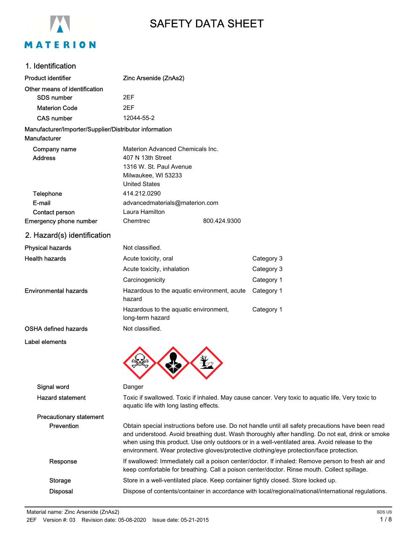

# SAFETY DATA SHEET

### 1. Identification

| <b>Product identifier</b>                                              | Zinc Arsenide (ZnAs2)                                                                                                                                                                    |                                                                                                                                                                                                       |  |
|------------------------------------------------------------------------|------------------------------------------------------------------------------------------------------------------------------------------------------------------------------------------|-------------------------------------------------------------------------------------------------------------------------------------------------------------------------------------------------------|--|
| Other means of identification                                          |                                                                                                                                                                                          |                                                                                                                                                                                                       |  |
| <b>SDS number</b>                                                      | 2EF                                                                                                                                                                                      |                                                                                                                                                                                                       |  |
| <b>Materion Code</b>                                                   | 2EF                                                                                                                                                                                      |                                                                                                                                                                                                       |  |
| <b>CAS number</b>                                                      | 12044-55-2                                                                                                                                                                               |                                                                                                                                                                                                       |  |
| Manufacturer/Importer/Supplier/Distributor information<br>Manufacturer |                                                                                                                                                                                          |                                                                                                                                                                                                       |  |
| Company name<br><b>Address</b>                                         | Materion Advanced Chemicals Inc.<br>407 N 13th Street<br>1316 W. St. Paul Avenue<br>Milwaukee, WI 53233<br><b>United States</b>                                                          |                                                                                                                                                                                                       |  |
| Telephone                                                              | 414.212.0290                                                                                                                                                                             |                                                                                                                                                                                                       |  |
| E-mail                                                                 | advancedmaterials@materion.com                                                                                                                                                           |                                                                                                                                                                                                       |  |
| Contact person                                                         | Laura Hamilton                                                                                                                                                                           |                                                                                                                                                                                                       |  |
| Emergency phone number                                                 | 800.424.9300<br>Chemtrec                                                                                                                                                                 |                                                                                                                                                                                                       |  |
| 2. Hazard(s) identification                                            |                                                                                                                                                                                          |                                                                                                                                                                                                       |  |
| <b>Physical hazards</b>                                                | Not classified.                                                                                                                                                                          |                                                                                                                                                                                                       |  |
| <b>Health hazards</b>                                                  | Acute toxicity, oral                                                                                                                                                                     | Category 3                                                                                                                                                                                            |  |
|                                                                        | Acute toxicity, inhalation                                                                                                                                                               | Category 3                                                                                                                                                                                            |  |
|                                                                        | Carcinogenicity                                                                                                                                                                          | Category 1                                                                                                                                                                                            |  |
| Environmental hazards                                                  | Hazardous to the aquatic environment, acute<br>hazard                                                                                                                                    | Category 1                                                                                                                                                                                            |  |
|                                                                        | Hazardous to the aquatic environment,<br>long-term hazard                                                                                                                                | Category 1                                                                                                                                                                                            |  |
| <b>OSHA defined hazards</b>                                            | Not classified.                                                                                                                                                                          |                                                                                                                                                                                                       |  |
| <b>Label elements</b>                                                  |                                                                                                                                                                                          |                                                                                                                                                                                                       |  |
| Signal word                                                            | Danger                                                                                                                                                                                   |                                                                                                                                                                                                       |  |
| <b>Hazard statement</b>                                                | Toxic if swallowed. Toxic if inhaled. May cause cancer. Very toxic to aquatic life. Very toxic to<br>aquatic life with long lasting effects.                                             |                                                                                                                                                                                                       |  |
| <b>Precautionary statement</b>                                         |                                                                                                                                                                                          |                                                                                                                                                                                                       |  |
| Prevention                                                             | when using this product. Use only outdoors or in a well-ventilated area. Avoid release to the<br>environment. Wear protective gloves/protective clothing/eye protection/face protection. | Obtain special instructions before use. Do not handle until all safety precautions have been read<br>and understood. Avoid breathing dust. Wash thoroughly after handling. Do not eat, drink or smoke |  |
| Response                                                               | keep comfortable for breathing. Call a poison center/doctor. Rinse mouth. Collect spillage.                                                                                              | If swallowed: Immediately call a poison center/doctor. If inhaled: Remove person to fresh air and                                                                                                     |  |
| <b>Storage</b>                                                         | Store in a well-ventilated place. Keep container tightly closed. Store locked up.                                                                                                        |                                                                                                                                                                                                       |  |
| <b>Disposal</b>                                                        |                                                                                                                                                                                          | Dispose of contents/container in accordance with local/regional/national/international regulations.                                                                                                   |  |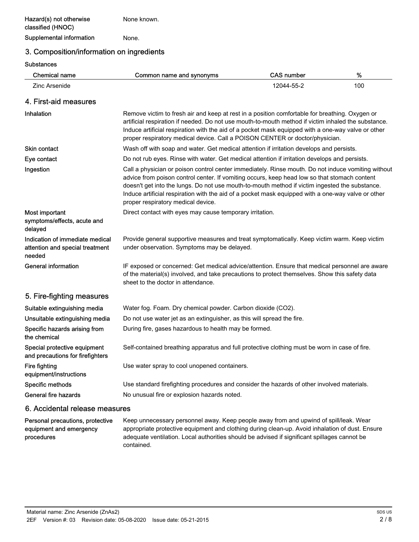None known.

Supplemental information Mone.

## 3. Composition/information on ingredients

#### **Substances**

procedures

| <b>Chemical name</b>                                                         | Common name and synonyms                                                                                                                                                                                                                                                                                                                                                                                                                         | <b>CAS number</b> | $\%$ |
|------------------------------------------------------------------------------|--------------------------------------------------------------------------------------------------------------------------------------------------------------------------------------------------------------------------------------------------------------------------------------------------------------------------------------------------------------------------------------------------------------------------------------------------|-------------------|------|
| Zinc Arsenide                                                                |                                                                                                                                                                                                                                                                                                                                                                                                                                                  | 12044-55-2        | 100  |
| 4. First-aid measures                                                        |                                                                                                                                                                                                                                                                                                                                                                                                                                                  |                   |      |
| <b>Inhalation</b>                                                            | Remove victim to fresh air and keep at rest in a position comfortable for breathing. Oxygen or<br>artificial respiration if needed. Do not use mouth-to-mouth method if victim inhaled the substance.<br>Induce artificial respiration with the aid of a pocket mask equipped with a one-way valve or other<br>proper respiratory medical device. Call a POISON CENTER or doctor/physician.                                                      |                   |      |
| <b>Skin contact</b>                                                          | Wash off with soap and water. Get medical attention if irritation develops and persists.                                                                                                                                                                                                                                                                                                                                                         |                   |      |
| Eye contact                                                                  | Do not rub eyes. Rinse with water. Get medical attention if irritation develops and persists.                                                                                                                                                                                                                                                                                                                                                    |                   |      |
| Ingestion                                                                    | Call a physician or poison control center immediately. Rinse mouth. Do not induce vomiting without<br>advice from poison control center. If vomiting occurs, keep head low so that stomach content<br>doesn't get into the lungs. Do not use mouth-to-mouth method if victim ingested the substance.<br>Induce artificial respiration with the aid of a pocket mask equipped with a one-way valve or other<br>proper respiratory medical device. |                   |      |
| Most important<br>symptoms/effects, acute and<br>delayed                     | Direct contact with eyes may cause temporary irritation.                                                                                                                                                                                                                                                                                                                                                                                         |                   |      |
| Indication of immediate medical<br>attention and special treatment<br>needed | Provide general supportive measures and treat symptomatically. Keep victim warm. Keep victim<br>under observation. Symptoms may be delayed.                                                                                                                                                                                                                                                                                                      |                   |      |
| <b>General information</b>                                                   | IF exposed or concerned: Get medical advice/attention. Ensure that medical personnel are aware<br>of the material(s) involved, and take precautions to protect themselves. Show this safety data<br>sheet to the doctor in attendance.                                                                                                                                                                                                           |                   |      |
| 5. Fire-fighting measures                                                    |                                                                                                                                                                                                                                                                                                                                                                                                                                                  |                   |      |
| Suitable extinguishing media                                                 | Water fog. Foam. Dry chemical powder. Carbon dioxide (CO2).                                                                                                                                                                                                                                                                                                                                                                                      |                   |      |
| Unsuitable extinguishing media                                               | Do not use water jet as an extinguisher, as this will spread the fire.                                                                                                                                                                                                                                                                                                                                                                           |                   |      |
| Specific hazards arising from<br>the chemical                                | During fire, gases hazardous to health may be formed.                                                                                                                                                                                                                                                                                                                                                                                            |                   |      |
| Special protective equipment<br>and precautions for firefighters             | Self-contained breathing apparatus and full protective clothing must be worn in case of fire.                                                                                                                                                                                                                                                                                                                                                    |                   |      |
| Fire fighting<br>equipment/instructions                                      | Use water spray to cool unopened containers.                                                                                                                                                                                                                                                                                                                                                                                                     |                   |      |
| Specific methods                                                             | Use standard firefighting procedures and consider the hazards of other involved materials.                                                                                                                                                                                                                                                                                                                                                       |                   |      |
| General fire hazards                                                         | No unusual fire or explosion hazards noted.                                                                                                                                                                                                                                                                                                                                                                                                      |                   |      |
| 6. Accidental release measures                                               |                                                                                                                                                                                                                                                                                                                                                                                                                                                  |                   |      |
| Personal precautions, protective<br>equipment and emergency                  | Keep unnecessary personnel away. Keep people away from and upwind of spill/leak. Wear<br>appropriate protective equipment and clothing during clean-up. Avoid inhalation of dust. Ensure                                                                                                                                                                                                                                                         |                   |      |

adequate ventilation. Local authorities should be advised if significant spillages cannot be

contained.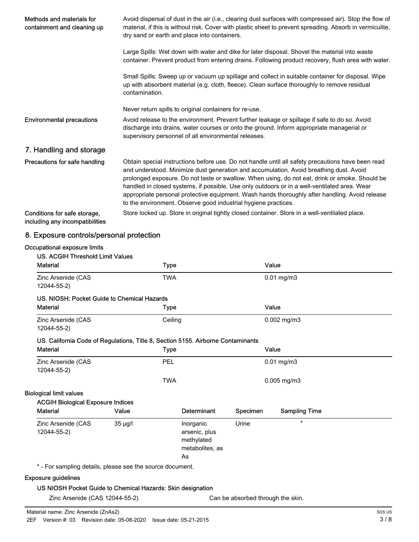| Methods and materials for<br>containment and cleaning up        | Avoid dispersal of dust in the air (i.e., clearing dust surfaces with compressed air). Stop the flow of<br>material, if this is without risk. Cover with plastic sheet to prevent spreading. Absorb in vermiculite,<br>dry sand or earth and place into containers.                                                                                                                                                                                                                                                                                               |  |  |
|-----------------------------------------------------------------|-------------------------------------------------------------------------------------------------------------------------------------------------------------------------------------------------------------------------------------------------------------------------------------------------------------------------------------------------------------------------------------------------------------------------------------------------------------------------------------------------------------------------------------------------------------------|--|--|
|                                                                 | Large Spills: Wet down with water and dike for later disposal. Shovel the material into waste<br>container. Prevent product from entering drains. Following product recovery, flush area with water.                                                                                                                                                                                                                                                                                                                                                              |  |  |
|                                                                 | Small Spills: Sweep up or vacuum up spillage and collect in suitable container for disposal. Wipe<br>up with absorbent material (e.g. cloth, fleece). Clean surface thoroughly to remove residual<br>contamination.                                                                                                                                                                                                                                                                                                                                               |  |  |
|                                                                 | Never return spills to original containers for re-use.                                                                                                                                                                                                                                                                                                                                                                                                                                                                                                            |  |  |
| <b>Environmental precautions</b>                                | Avoid release to the environment. Prevent further leakage or spillage if safe to do so. Avoid<br>discharge into drains, water courses or onto the ground. Inform appropriate managerial or<br>supervisory personnel of all environmental releases.                                                                                                                                                                                                                                                                                                                |  |  |
| 7. Handling and storage                                         |                                                                                                                                                                                                                                                                                                                                                                                                                                                                                                                                                                   |  |  |
| Precautions for safe handling                                   | Obtain special instructions before use. Do not handle until all safety precautions have been read<br>and understood. Minimize dust generation and accumulation. Avoid breathing dust. Avoid<br>prolonged exposure. Do not taste or swallow. When using, do not eat, drink or smoke. Should be<br>handled in closed systems, if possible. Use only outdoors or in a well-ventilated area. Wear<br>appropriate personal protective equipment. Wash hands thoroughly after handling. Avoid release<br>to the environment. Observe good industrial hygiene practices. |  |  |
| Conditions for safe storage,<br>including any incompatibilities | Store locked up. Store in original tightly closed container. Store in a well-ventilated place.                                                                                                                                                                                                                                                                                                                                                                                                                                                                    |  |  |

## 8. Exposure controls/personal protection

## Occupational exposure limits

|         | <b>Type</b>                              |                                                                   |          | Value                                                                            |                                                                                           |
|---------|------------------------------------------|-------------------------------------------------------------------|----------|----------------------------------------------------------------------------------|-------------------------------------------------------------------------------------------|
|         | <b>TWA</b>                               |                                                                   |          |                                                                                  |                                                                                           |
|         |                                          |                                                                   |          |                                                                                  |                                                                                           |
|         | <b>Type</b>                              |                                                                   |          |                                                                                  |                                                                                           |
|         | Ceiling                                  |                                                                   |          |                                                                                  |                                                                                           |
|         |                                          |                                                                   |          |                                                                                  |                                                                                           |
|         | <b>Type</b>                              |                                                                   |          |                                                                                  |                                                                                           |
|         | PEL                                      |                                                                   |          |                                                                                  |                                                                                           |
|         | <b>TWA</b>                               |                                                                   |          |                                                                                  |                                                                                           |
|         |                                          |                                                                   |          |                                                                                  |                                                                                           |
|         |                                          |                                                                   |          |                                                                                  |                                                                                           |
| Value   |                                          | Determinant                                                       | Specimen | <b>Sampling Time</b>                                                             |                                                                                           |
| 35 µg/l |                                          | Inorganic<br>arsenic, plus<br>methylated<br>metabolites, as<br>As | Urine    | $\star$                                                                          |                                                                                           |
|         | <b>ACGIH Biological Exposure Indices</b> | US. NIOSH: Pocket Guide to Chemical Hazards                       |          | US. California Code of Regulations, Title 8, Section 5155. Airborne Contaminants | $0.01$ mg/m $3$<br>Value<br>$0.002$ mg/m3<br>Value<br>$0.01$ mg/m $3$<br>$0.005$ mg/m $3$ |

#### Exposure guidelines

#### US NIOSH Pocket Guide to Chemical Hazards: Skin designation

Zinc Arsenide (CAS 12044-55-2) Can be absorbed through the skin.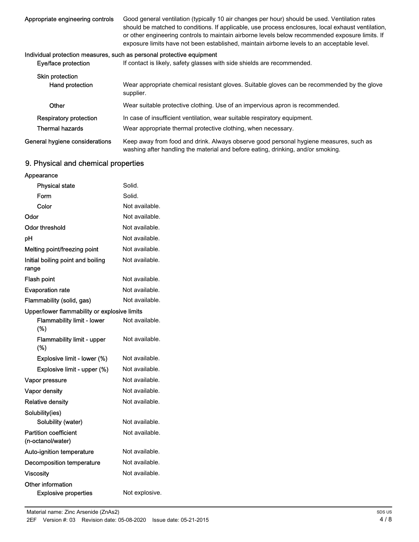| Appropriate engineering controls                                      | Good general ventilation (typically 10 air changes per hour) should be used. Ventilation rates<br>should be matched to conditions. If applicable, use process enclosures, local exhaust ventilation,<br>or other engineering controls to maintain airborne levels below recommended exposure limits. If<br>exposure limits have not been established, maintain airborne levels to an acceptable level. |
|-----------------------------------------------------------------------|--------------------------------------------------------------------------------------------------------------------------------------------------------------------------------------------------------------------------------------------------------------------------------------------------------------------------------------------------------------------------------------------------------|
| Individual protection measures, such as personal protective equipment |                                                                                                                                                                                                                                                                                                                                                                                                        |
| Eye/face protection                                                   | If contact is likely, safety glasses with side shields are recommended.                                                                                                                                                                                                                                                                                                                                |
| Skin protection                                                       |                                                                                                                                                                                                                                                                                                                                                                                                        |
| Hand protection                                                       | Wear appropriate chemical resistant gloves. Suitable gloves can be recommended by the glove<br>supplier.                                                                                                                                                                                                                                                                                               |
| Other                                                                 | Wear suitable protective clothing. Use of an impervious apron is recommended.                                                                                                                                                                                                                                                                                                                          |
| Respiratory protection                                                | In case of insufficient ventilation, wear suitable respiratory equipment.                                                                                                                                                                                                                                                                                                                              |

Thermal hazards Wear appropriate thermal protective clothing, when necessary.

Keep away from food and drink. Always observe good personal hygiene measures, such as washing after handling the material and before eating, drinking, and/or smoking. General hygiene considerations

## 9. Physical and chemical properties

| Appearance                                        |                |
|---------------------------------------------------|----------------|
| <b>Physical state</b>                             | Solid.         |
| Form                                              | Solid.         |
| Color                                             | Not available. |
| Odor                                              | Not available. |
| Odor threshold                                    | Not available. |
| рH                                                | Not available. |
| Melting point/freezing point                      | Not available. |
| Initial boiling point and boiling<br>range        | Not available. |
| Flash point                                       | Not available. |
| <b>Evaporation rate</b>                           | Not available. |
| Flammability (solid, gas)                         | Not available. |
| Upper/lower flammability or explosive limits      |                |
| <b>Flammability limit - lower</b><br>(%)          | Not available. |
| <b>Flammability limit - upper</b><br>(%)          | Not available. |
| Explosive limit - lower (%)                       | Not available. |
| Explosive limit - upper (%)                       | Not available. |
| Vapor pressure                                    | Not available. |
| Vapor density                                     | Not available. |
| <b>Relative density</b>                           | Not available. |
| Solubility(ies)                                   |                |
| Solubility (water)                                | Not available. |
| <b>Partition coefficient</b><br>(n-octanol/water) | Not available. |
| Auto-ignition temperature                         | Not available. |
| <b>Decomposition temperature</b>                  | Not available. |
| <b>Viscosity</b>                                  | Not available. |
| Other information<br><b>Explosive properties</b>  | Not explosive. |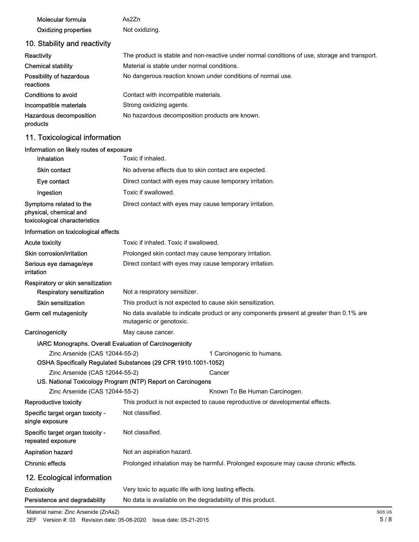| Molecular formula    | As2Zn          |
|----------------------|----------------|
| Oxidizing properties | Not oxidizing. |

## 10. Stability and reactivity

| Reactivity                            | The product is stable and non-reactive under normal conditions of use, storage and transport. |
|---------------------------------------|-----------------------------------------------------------------------------------------------|
| <b>Chemical stability</b>             | Material is stable under normal conditions.                                                   |
| Possibility of hazardous<br>reactions | No dangerous reaction known under conditions of normal use.                                   |
| Conditions to avoid                   | Contact with incompatible materials.                                                          |
| Incompatible materials                | Strong oxidizing agents.                                                                      |
| Hazardous decomposition<br>products   | No hazardous decomposition products are known.                                                |

## 11. Toxicological information

#### Information on likely routes of exposure

| Inhalation                                                                         | Toxic if inhaled.                                                                                                   |                                                                                    |  |
|------------------------------------------------------------------------------------|---------------------------------------------------------------------------------------------------------------------|------------------------------------------------------------------------------------|--|
| <b>Skin contact</b>                                                                | No adverse effects due to skin contact are expected.                                                                |                                                                                    |  |
| Eye contact                                                                        | Direct contact with eyes may cause temporary irritation.                                                            |                                                                                    |  |
| Ingestion                                                                          | Toxic if swallowed.                                                                                                 |                                                                                    |  |
| Symptoms related to the<br>physical, chemical and<br>toxicological characteristics | Direct contact with eyes may cause temporary irritation.                                                            |                                                                                    |  |
| Information on toxicological effects                                               |                                                                                                                     |                                                                                    |  |
| <b>Acute toxicity</b>                                                              | Toxic if inhaled. Toxic if swallowed.                                                                               |                                                                                    |  |
| Skin corrosion/irritation                                                          | Prolonged skin contact may cause temporary irritation.                                                              |                                                                                    |  |
| Serious eye damage/eye<br>irritation                                               | Direct contact with eyes may cause temporary irritation.                                                            |                                                                                    |  |
| Respiratory or skin sensitization<br><b>Respiratory sensitization</b>              | Not a respiratory sensitizer.                                                                                       |                                                                                    |  |
| <b>Skin sensitization</b>                                                          | This product is not expected to cause skin sensitization.                                                           |                                                                                    |  |
| Germ cell mutagenicity                                                             | No data available to indicate product or any components present at greater than 0.1% are<br>mutagenic or genotoxic. |                                                                                    |  |
| Carcinogenicity                                                                    | May cause cancer.                                                                                                   |                                                                                    |  |
| IARC Monographs. Overall Evaluation of Carcinogenicity                             |                                                                                                                     |                                                                                    |  |
| Zinc Arsenide (CAS 12044-55-2)                                                     |                                                                                                                     | 1 Carcinogenic to humans.                                                          |  |
|                                                                                    | OSHA Specifically Regulated Substances (29 CFR 1910.1001-1052)                                                      |                                                                                    |  |
| Zinc Arsenide (CAS 12044-55-2)                                                     |                                                                                                                     | Cancer                                                                             |  |
| Zinc Arsenide (CAS 12044-55-2)                                                     | US. National Toxicology Program (NTP) Report on Carcinogens                                                         | Known To Be Human Carcinogen.                                                      |  |
| Reproductive toxicity                                                              |                                                                                                                     | This product is not expected to cause reproductive or developmental effects.       |  |
| Specific target organ toxicity -<br>single exposure                                | Not classified.                                                                                                     |                                                                                    |  |
| Specific target organ toxicity -<br>repeated exposure                              | Not classified.                                                                                                     |                                                                                    |  |
| Aspiration hazard                                                                  | Not an aspiration hazard.                                                                                           |                                                                                    |  |
| <b>Chronic effects</b>                                                             |                                                                                                                     | Prolonged inhalation may be harmful. Prolonged exposure may cause chronic effects. |  |
| 12. Ecological information                                                         |                                                                                                                     |                                                                                    |  |
| Ecotoxicity                                                                        | Very toxic to aquatic life with long lasting effects.                                                               |                                                                                    |  |
| Persistence and degradability                                                      | No data is available on the degradability of this product.                                                          |                                                                                    |  |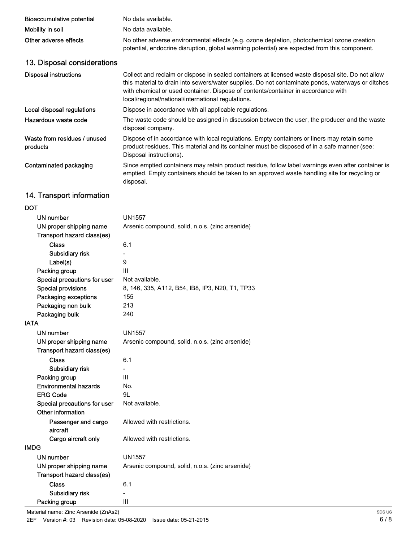| <b>Bioaccumulative potential</b>         | No data available.                                                                                                                                                                                                                                                                                                                                |  |
|------------------------------------------|---------------------------------------------------------------------------------------------------------------------------------------------------------------------------------------------------------------------------------------------------------------------------------------------------------------------------------------------------|--|
| Mobility in soil                         | No data available.                                                                                                                                                                                                                                                                                                                                |  |
| Other adverse effects                    | No other adverse environmental effects (e.g. ozone depletion, photochemical ozone creation<br>potential, endocrine disruption, global warming potential) are expected from this component.                                                                                                                                                        |  |
| 13. Disposal considerations              |                                                                                                                                                                                                                                                                                                                                                   |  |
| <b>Disposal instructions</b>             | Collect and reclaim or dispose in sealed containers at licensed waste disposal site. Do not allow<br>this material to drain into sewers/water supplies. Do not contaminate ponds, waterways or ditches<br>with chemical or used container. Dispose of contents/container in accordance with<br>local/regional/national/international regulations. |  |
| Local disposal regulations               | Dispose in accordance with all applicable regulations.                                                                                                                                                                                                                                                                                            |  |
| Hazardous waste code                     | The waste code should be assigned in discussion between the user, the producer and the waste<br>disposal company.                                                                                                                                                                                                                                 |  |
| Waste from residues / unused<br>products | Dispose of in accordance with local regulations. Empty containers or liners may retain some<br>product residues. This material and its container must be disposed of in a safe manner (see:<br>Disposal instructions).                                                                                                                            |  |
| Contaminated packaging                   | Since emptied containers may retain product residue, follow label warnings even after container is<br>emptied. Empty containers should be taken to an approved waste handling site for recycling or<br>disposal.                                                                                                                                  |  |

## 14. Transport information

#### DOT

| <b>UN number</b>             | <b>UN1557</b>                                   |
|------------------------------|-------------------------------------------------|
| UN proper shipping name      | Arsenic compound, solid, n.o.s. (zinc arsenide) |
| Transport hazard class(es)   |                                                 |
| <b>Class</b>                 | 6.1                                             |
| <b>Subsidiary risk</b>       |                                                 |
| Label(s)                     | 9                                               |
| Packing group                | Ш                                               |
| Special precautions for user | Not available.                                  |
| <b>Special provisions</b>    | 8, 146, 335, A112, B54, IB8, IP3, N20, T1, TP33 |
| Packaging exceptions         | 155                                             |
| Packaging non bulk           | 213                                             |
| Packaging bulk               | 240                                             |
| <b>IATA</b>                  |                                                 |
| <b>UN number</b>             | <b>UN1557</b>                                   |
| UN proper shipping name      | Arsenic compound, solid, n.o.s. (zinc arsenide) |
| Transport hazard class(es)   |                                                 |
| Class                        | 6.1                                             |
| Subsidiary risk              | $\overline{a}$                                  |
| Packing group                | III                                             |
| <b>Environmental hazards</b> | No.                                             |
| <b>ERG Code</b>              | 9L                                              |
| Special precautions for user | Not available.                                  |
| Other information            |                                                 |
| Passenger and cargo          | Allowed with restrictions.                      |
| aircraft                     |                                                 |
| Cargo aircraft only          | Allowed with restrictions.                      |
| <b>IMDG</b>                  |                                                 |
| <b>UN number</b>             | <b>UN1557</b>                                   |
| UN proper shipping name      | Arsenic compound, solid, n.o.s. (zinc arsenide) |
| Transport hazard class(es)   |                                                 |
| <b>Class</b>                 | 6.1                                             |
| Subsidiary risk              |                                                 |
| Packing group                | III                                             |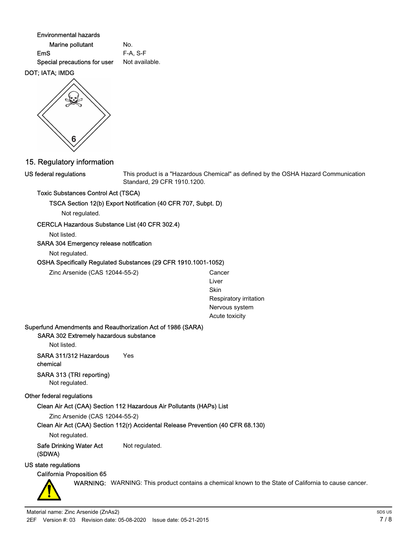Environmental hazards

| Marine pollutant             | No.            |
|------------------------------|----------------|
| EmS                          | $F-A. S-F$     |
| Special precautions for user | Not available. |

#### DOT; IATA; IMDG



#### This product is a "Hazardous Chemical" as defined by the OSHA Hazard Communication Standard, 29 CFR 1910.1200.

#### Toxic Substances Control Act (TSCA)

TSCA Section 12(b) Export Notification (40 CFR 707, Subpt. D)

Not regulated.

#### CERCLA Hazardous Substance List (40 CFR 302.4)

Not listed.

US federal regulations

#### SARA 304 Emergency release notification

Not regulated.

#### OSHA Specifically Regulated Substances (29 CFR 1910.1001-1052)

Zinc Arsenide (CAS 12044-55-2) Cancer

Liver Skin Respiratory irritation Nervous system Acute toxicity

#### Superfund Amendments and Reauthorization Act of 1986 (SARA)

SARA 302 Extremely hazardous substance

Not listed.

SARA 311/312 Hazardous Yes chemical

#### SARA 313 (TRI reporting) Not regulated.

## Other federal regulations

### Clean Air Act (CAA) Section 112 Hazardous Air Pollutants (HAPs) List

Zinc Arsenide (CAS 12044-55-2)

### Clean Air Act (CAA) Section 112(r) Accidental Release Prevention (40 CFR 68.130)

Not regulated.

Safe Drinking Water Act Not regulated. (SDWA)

### US state regulations

## California Proposition 65

WARNING: WARNING: This product contains a chemical known to the State of California to cause cancer.